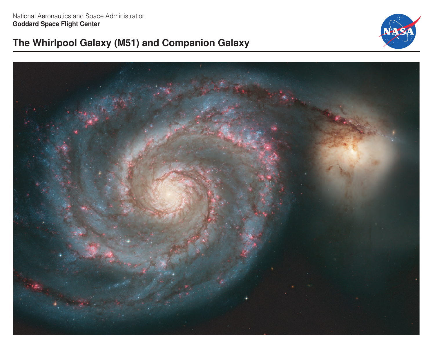# **The Whirlpool Galaxy (M51) and Companion Galaxy**



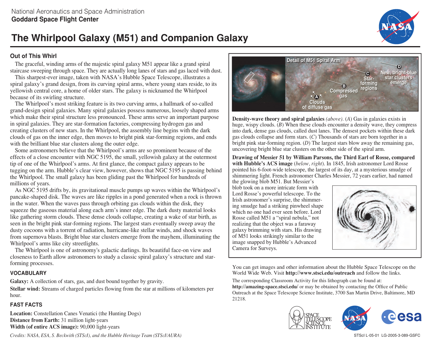# **The Whirlpool Galaxy (M51) and Companion Galaxy**

#### **Out of This Whirl**

The graceful, winding arms of the majestic spiral galaxy M51 appear like a grand spiral staircase sweeping through space. They are actually long lanes of stars and gas laced with dust.

This sharpest-ever image, taken with NASA's Hubble Space Telescope, illustrates a spiral galaxy's grand design, from its curving spiral arms, where young stars reside, to its yellowish central core, a home of older stars. The galaxy is nicknamed the Whirlpool because of its swirling structure.

The Whirlpool's most striking feature is its two curving arms, a hallmark of so-called grand-design spiral galaxies. Many spiral galaxies possess numerous, loosely shaped arms which make their spiral structure less pronounced. These arms serve an important purpose in spiral galaxies. They are star-formation factories, compressing hydrogen gas and creating clusters of new stars. In the Whirlpool, the assembly line begins with the dark clouds of gas on the inner edge, then moves to bright pink star-forming regions, and ends with the brilliant blue star clusters along the outer edge.

Some astronomers believe that the Whirlpool's arms are so prominent because of the effects of a close encounter with NGC 5195, the small, yellowish galaxy at the outermost tip of one of the Whirlpool's arms. At first glance, the compact galaxy appears to be tugging on the arm. Hubble's clear view, however, shows that NGC 5195 is passing behind the Whirlpool. The small galaxy has been gliding past the Whirlpool for hundreds of millions of years.

As NGC 5195 drifts by, its gravitational muscle pumps up waves within the Whirlpool's pancake-shaped disk. The waves are like ripples in a pond generated when a rock is thrown in the water. When the waves pass through orbiting gas clouds within the disk, they squeeze the gaseous material along each arm's inner edge. The dark dusty material looks like gathering storm clouds. These dense clouds collapse, creating a wake of star birth, as seen in the bright pink star-forming regions. The largest stars eventually sweep away the dusty cocoons with a torrent of radiation, hurricane-like stellar winds, and shock waves from supernova blasts. Bright blue star clusters emerge from the mayhem, illuminating the Whirlpool's arms like city streetlights.

The Whirlpool is one of astronomy's galactic darlings. Its beautiful face-on view and closeness to Earth allow astronomers to study a classic spiral galaxy's structure and starforming processes.

#### **VOCABULARY**

**Galaxy:** A collection of stars, gas, and dust bound together by gravity.

**Stellar wind:** Streams of charged particles flowing from the star at millions of kilometers per hour.

#### **FAST FACTS**

**Location:** Constellation Canes Venatici (the Hunting Dogs) **Distance from Earth:** 31 million light-years **Width (of entire ACS image):** 90,000 light-years

*Credits: NASA, ESA, S. Beckwith (STScI), and the Hubble Heritage Team (STScI/AURA)*



**Density-wave theory and spiral galaxies** *(above).* (*A*) Gas in galaxies exists in huge, wispy clouds. (*B*) When these clouds encounter a density wave, they compress into dark, dense gas clouds, called dust lanes. The densest pockets within these dark gas clouds collapse and form stars. (*C*) Thousands of stars are born together in a bright pink star-forming region. (*D*) The largest stars blow away the remaining gas, uncovering bright blue star clusters on the other side of the spiral arm.

**Drawing of Messier 51 by William Parsons, the Third Earl of Rosse, compared with Hubble's ACS image** (*below, right*). In 1845, Irish astronomer Lord Rosse pointed his 6-foot-wide telescope, the largest of its day, at a mysterious smudge of shimmering light. French astronomer Charles Messier, 72 years earlier, had named

the glowing blob M51. But Messier's blob took on a more intricate form with Lord Rosse's powerful telescope. To the Irish astronomer's surprise, the shimmering smudge had a striking pinwheel shape which no one had ever seen before. Lord Rosse called M51 a "spiral nebula," not realizing that the object was a faraway galaxy brimming with stars. His drawing of M51 looks strikingly similar to the image snapped by Hubble's Advanced Camera for Surveys.



You can get images and other information about the Hubble Space Telescope on the World Wide Web. Visit **http://www.stsci.edu/outreach** and follow the links.

The corresponding Classroom Activity for this lithograph can be found at: **http://amazing-space.stsci.edu/** or may be obtained by contacting the Office of Public Outreach at the Space Telescope Science Institute, 3700 San Martin Drive, Baltimore, MD 21218.





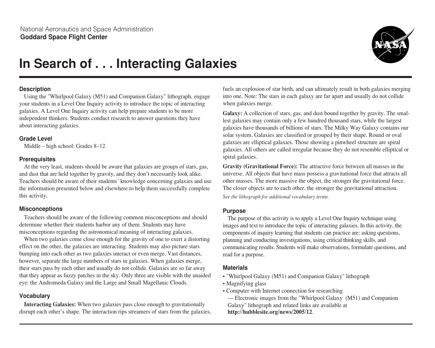

# **In Search of... Interacting Galaxies**

#### **Description**

Using the "Whirlpool Galaxy (M51) and Companion Galaxy" lithograph, engage your students in a Level One Inquiry activity to introduce the topic of interacting galaxies. A Level One Inquiry activity can help prepare students to be more independent thinkers. Students conduct research to answer questions they have about interacting galaxies.

#### **Grade Level**

Middle – high school: Grades 8–12

#### **Prerequisites**

At the very least, students should be aware that galaxies are groups of stars, gas, and dust that are held together by gravity, and they don't necessarily look alike. Teachers should be aware of their students' knowledge concerning galaxies and use the information presented below and elsewhere to help them successfully complete this activity.

#### **Misconceptions**

Teachers should be aware of the following common misconceptions and should determine whether their students harbor any of them. Students may have misconceptions regarding the astronomical meaning of interacting galaxies.

When two galaxies come close enough for the gravity of one to exert a distorting effect on the other, the galaxies are interacting. Students may also picture stars bumping into each other as two galaxies interact or even merge. Vast distances, however, separate the large numbers of stars in galaxies. When galaxies merge, their stars pass by each other and usually do not collide. Galaxies are so far away that they appear as fuzzy patches in the sky. Only three are visible with the unaided eye: the Andromeda Galaxy and the Large and Small Magellanic Clouds.

#### **Vocabulary**

**Interacting Galaxies:** When two galaxies pass close enough to gravitationally disrupt each other's shape. The interaction rips streamers of stars from the galaxies, fuels an explosion of star birth, and can ultimately result in both galaxies merging into one. Note: The stars in each galaxy are far apart and usually do not collide when galaxies merge.

**Galaxy:** A collection of stars, gas, and dust bound together by gravity. The smallest galaxies may contain only a few hundred thousand stars, while the largest galaxies have thousands of billions of stars. The Milky Way Galaxy contains our solar system. Galaxies are classified or grouped by their shape. Round or oval galaxies are elliptical galaxies. Those showing a pinwheel structure are spiral galaxies. All others are called irregular because they do not resemble elliptical or spiral galaxies.

**Gravity (Gravitational Force):** The attractive force between all masses in the universe. All objects that have mass possess a gravitational force that attracts all other masses. The more massive the object, the stronger the gravitational force. The closer objects are to each other, the stronger the gravitational attraction. *See the lithograph for additional vocabulary terms.*

#### **Purpose**

The purpose of this activity is to apply a Level One Inquiry technique using images and text to introduce the topic of interacting galaxies. In this activity, the components of inquiry learning that students can practice are: asking questions, planning and conducting investigations, using critical thinking skills, and communicating results. Students will make observations, formulate questions, and read for a purpose.

#### **Materials**

- "Whirlpool Galaxy (M51) and Companion Galaxy" lithograph
- Magnifying glass
- Computer with Internet connection for researching

— Electronic images from the "Whirlpool Galaxy (M51) and Companion Galaxy" lithograph and related links are available at **http://hubblesite.org/news/2005/12**.